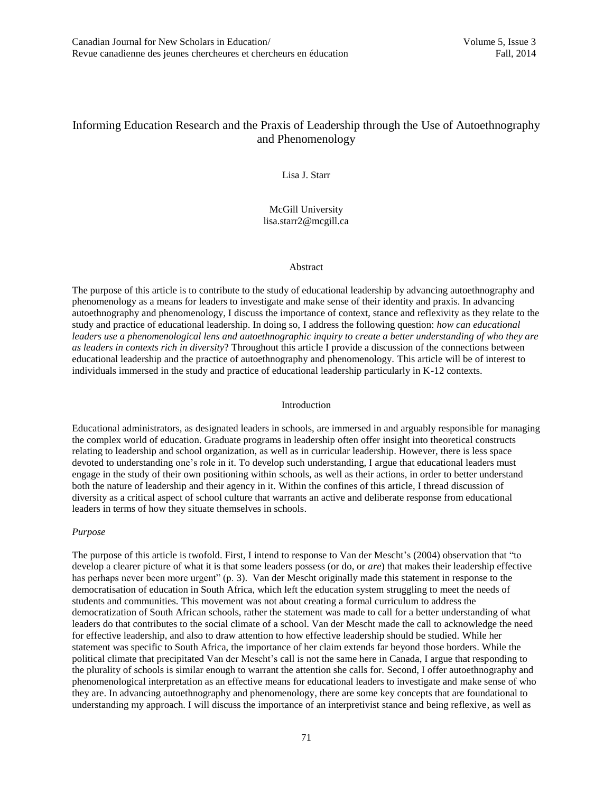# Informing Education Research and the Praxis of Leadership through the Use of Autoethnography and Phenomenology

Lisa J. Starr

McGill University lisa.starr2@mcgill.ca

#### Abstract

The purpose of this article is to contribute to the study of educational leadership by advancing autoethnography and phenomenology as a means for leaders to investigate and make sense of their identity and praxis. In advancing autoethnography and phenomenology, I discuss the importance of context, stance and reflexivity as they relate to the study and practice of educational leadership. In doing so, I address the following question: *how can educational leaders use a phenomenological lens and autoethnographic inquiry to create a better understanding of who they are as leaders in contexts rich in diversity*? Throughout this article I provide a discussion of the connections between educational leadership and the practice of autoethnography and phenomenology. This article will be of interest to individuals immersed in the study and practice of educational leadership particularly in K-12 contexts.

#### Introduction

Educational administrators, as designated leaders in schools, are immersed in and arguably responsible for managing the complex world of education. Graduate programs in leadership often offer insight into theoretical constructs relating to leadership and school organization, as well as in curricular leadership. However, there is less space devoted to understanding one's role in it. To develop such understanding, I argue that educational leaders must engage in the study of their own positioning within schools, as well as their actions, in order to better understand both the nature of leadership and their agency in it. Within the confines of this article, I thread discussion of diversity as a critical aspect of school culture that warrants an active and deliberate response from educational leaders in terms of how they situate themselves in schools.

### *Purpose*

The purpose of this article is twofold. First, I intend to response to Van der Mescht's (2004) observation that "to develop a clearer picture of what it is that some leaders possess (or do, or *are*) that makes their leadership effective has perhaps never been more urgent" (p. 3). Van der Mescht originally made this statement in response to the democratisation of education in South Africa, which left the education system struggling to meet the needs of students and communities. This movement was not about creating a formal curriculum to address the democratization of South African schools, rather the statement was made to call for a better understanding of what leaders do that contributes to the social climate of a school. Van der Mescht made the call to acknowledge the need for effective leadership, and also to draw attention to how effective leadership should be studied. While her statement was specific to South Africa, the importance of her claim extends far beyond those borders. While the political climate that precipitated Van der Mescht's call is not the same here in Canada, I argue that responding to the plurality of schools is similar enough to warrant the attention she calls for. Second, I offer autoethnography and phenomenological interpretation as an effective means for educational leaders to investigate and make sense of who they are. In advancing autoethnography and phenomenology, there are some key concepts that are foundational to understanding my approach. I will discuss the importance of an interpretivist stance and being reflexive, as well as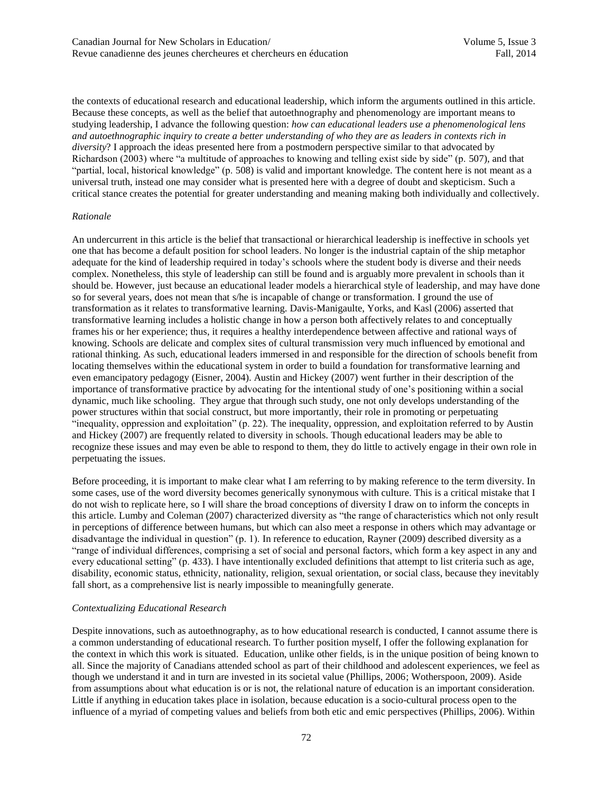the contexts of educational research and educational leadership, which inform the arguments outlined in this article. Because these concepts, as well as the belief that autoethnography and phenomenology are important means to studying leadership, I advance the following question: *how can educational leaders use a phenomenological lens and autoethnographic inquiry to create a better understanding of who they are as leaders in contexts rich in diversity*? I approach the ideas presented here from a postmodern perspective similar to that advocated by Richardson (2003) where "a multitude of approaches to knowing and telling exist side by side" (p. 507), and that "partial, local, historical knowledge" (p. 508) is valid and important knowledge. The content here is not meant as a universal truth, instead one may consider what is presented here with a degree of doubt and skepticism. Such a critical stance creates the potential for greater understanding and meaning making both individually and collectively.

## *Rationale*

An undercurrent in this article is the belief that transactional or hierarchical leadership is ineffective in schools yet one that has become a default position for school leaders. No longer is the industrial captain of the ship metaphor adequate for the kind of leadership required in today's schools where the student body is diverse and their needs complex. Nonetheless, this style of leadership can still be found and is arguably more prevalent in schools than it should be. However, just because an educational leader models a hierarchical style of leadership, and may have done so for several years, does not mean that s/he is incapable of change or transformation. I ground the use of transformation as it relates to transformative learning. Davis-Manigaulte, Yorks, and Kasl (2006) asserted that transformative learning includes a holistic change in how a person both affectively relates to and conceptually frames his or her experience; thus, it requires a healthy interdependence between affective and rational ways of knowing. Schools are delicate and complex sites of cultural transmission very much influenced by emotional and rational thinking. As such, educational leaders immersed in and responsible for the direction of schools benefit from locating themselves within the educational system in order to build a foundation for transformative learning and even emancipatory pedagogy (Eisner, 2004). Austin and Hickey (2007) went further in their description of the importance of transformative practice by advocating for the intentional study of one's positioning within a social dynamic, much like schooling. They argue that through such study, one not only develops understanding of the power structures within that social construct, but more importantly, their role in promoting or perpetuating "inequality, oppression and exploitation" (p. 22). The inequality, oppression, and exploitation referred to by Austin and Hickey (2007) are frequently related to diversity in schools. Though educational leaders may be able to recognize these issues and may even be able to respond to them, they do little to actively engage in their own role in perpetuating the issues.

Before proceeding, it is important to make clear what I am referring to by making reference to the term diversity. In some cases, use of the word diversity becomes generically synonymous with culture. This is a critical mistake that I do not wish to replicate here, so I will share the broad conceptions of diversity I draw on to inform the concepts in this article. Lumby and Coleman (2007) characterized diversity as "the range of characteristics which not only result in perceptions of difference between humans, but which can also meet a response in others which may advantage or disadvantage the individual in question" (p. 1). In reference to education, Rayner (2009) described diversity as a "range of individual differences, comprising a set of social and personal factors, which form a key aspect in any and every educational setting" (p. 433). I have intentionally excluded definitions that attempt to list criteria such as age, disability, economic status, ethnicity, nationality, religion, sexual orientation, or social class, because they inevitably fall short, as a comprehensive list is nearly impossible to meaningfully generate.

#### *Contextualizing Educational Research*

Despite innovations, such as autoethnography, as to how educational research is conducted, I cannot assume there is a common understanding of educational research. To further position myself, I offer the following explanation for the context in which this work is situated. Education, unlike other fields, is in the unique position of being known to all. Since the majority of Canadians attended school as part of their childhood and adolescent experiences, we feel as though we understand it and in turn are invested in its societal value (Phillips, 2006; Wotherspoon, 2009). Aside from assumptions about what education is or is not, the relational nature of education is an important consideration. Little if anything in education takes place in isolation, because education is a socio-cultural process open to the influence of a myriad of competing values and beliefs from both etic and emic perspectives (Phillips, 2006). Within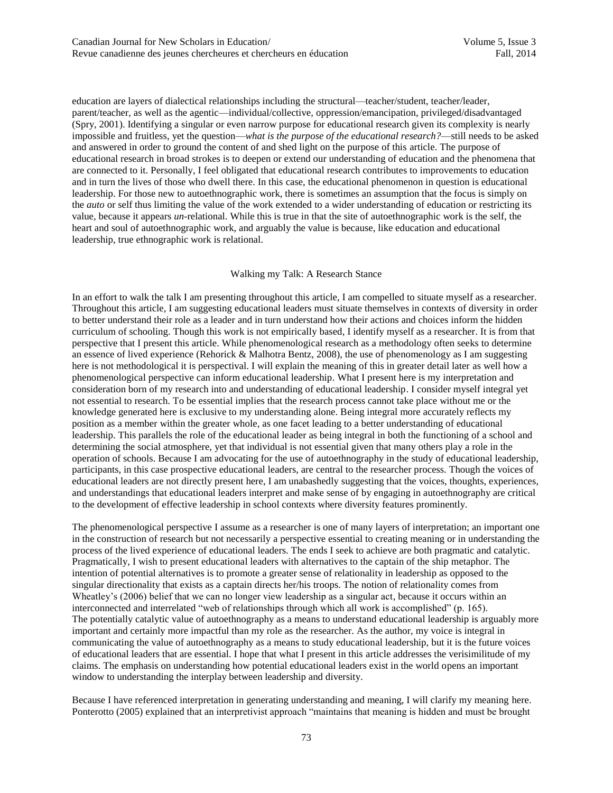education are layers of dialectical relationships including the structural—teacher/student, teacher/leader, parent/teacher, as well as the agentic—individual/collective, oppression/emancipation, privileged/disadvantaged (Spry, 2001). Identifying a singular or even narrow purpose for educational research given its complexity is nearly impossible and fruitless, yet the question—*what is the purpose of the educational research?*—still needs to be asked and answered in order to ground the content of and shed light on the purpose of this article. The purpose of educational research in broad strokes is to deepen or extend our understanding of education and the phenomena that are connected to it. Personally, I feel obligated that educational research contributes to improvements to education and in turn the lives of those who dwell there. In this case, the educational phenomenon in question is educational leadership. For those new to autoethnographic work, there is sometimes an assumption that the focus is simply on the *auto* or self thus limiting the value of the work extended to a wider understanding of education or restricting its value, because it appears *un*-relational. While this is true in that the site of autoethnographic work is the self, the heart and soul of autoethnographic work, and arguably the value is because, like education and educational leadership, true ethnographic work is relational.

### Walking my Talk: A Research Stance

In an effort to walk the talk I am presenting throughout this article, I am compelled to situate myself as a researcher. Throughout this article, I am suggesting educational leaders must situate themselves in contexts of diversity in order to better understand their role as a leader and in turn understand how their actions and choices inform the hidden curriculum of schooling. Though this work is not empirically based, I identify myself as a researcher. It is from that perspective that I present this article. While phenomenological research as a methodology often seeks to determine an essence of lived experience (Rehorick & Malhotra Bentz, 2008), the use of phenomenology as I am suggesting here is not methodological it is perspectival. I will explain the meaning of this in greater detail later as well how a phenomenological perspective can inform educational leadership. What I present here is my interpretation and consideration born of my research into and understanding of educational leadership. I consider myself integral yet not essential to research. To be essential implies that the research process cannot take place without me or the knowledge generated here is exclusive to my understanding alone. Being integral more accurately reflects my position as a member within the greater whole, as one facet leading to a better understanding of educational leadership. This parallels the role of the educational leader as being integral in both the functioning of a school and determining the social atmosphere, yet that individual is not essential given that many others play a role in the operation of schools. Because I am advocating for the use of autoethnography in the study of educational leadership, participants, in this case prospective educational leaders, are central to the researcher process. Though the voices of educational leaders are not directly present here, I am unabashedly suggesting that the voices, thoughts, experiences, and understandings that educational leaders interpret and make sense of by engaging in autoethnography are critical to the development of effective leadership in school contexts where diversity features prominently.

The phenomenological perspective I assume as a researcher is one of many layers of interpretation; an important one in the construction of research but not necessarily a perspective essential to creating meaning or in understanding the process of the lived experience of educational leaders. The ends I seek to achieve are both pragmatic and catalytic. Pragmatically, I wish to present educational leaders with alternatives to the captain of the ship metaphor. The intention of potential alternatives is to promote a greater sense of relationality in leadership as opposed to the singular directionality that exists as a captain directs her/his troops. The notion of relationality comes from Wheatley's (2006) belief that we can no longer view leadership as a singular act, because it occurs within an interconnected and interrelated "web of relationships through which all work is accomplished" (p. 165). The potentially catalytic value of autoethnography as a means to understand educational leadership is arguably more important and certainly more impactful than my role as the researcher. As the author, my voice is integral in communicating the value of autoethnography as a means to study educational leadership, but it is the future voices of educational leaders that are essential. I hope that what I present in this article addresses the verisimilitude of my claims. The emphasis on understanding how potential educational leaders exist in the world opens an important window to understanding the interplay between leadership and diversity.

Because I have referenced interpretation in generating understanding and meaning, I will clarify my meaning here. Ponterotto (2005) explained that an interpretivist approach "maintains that meaning is hidden and must be brought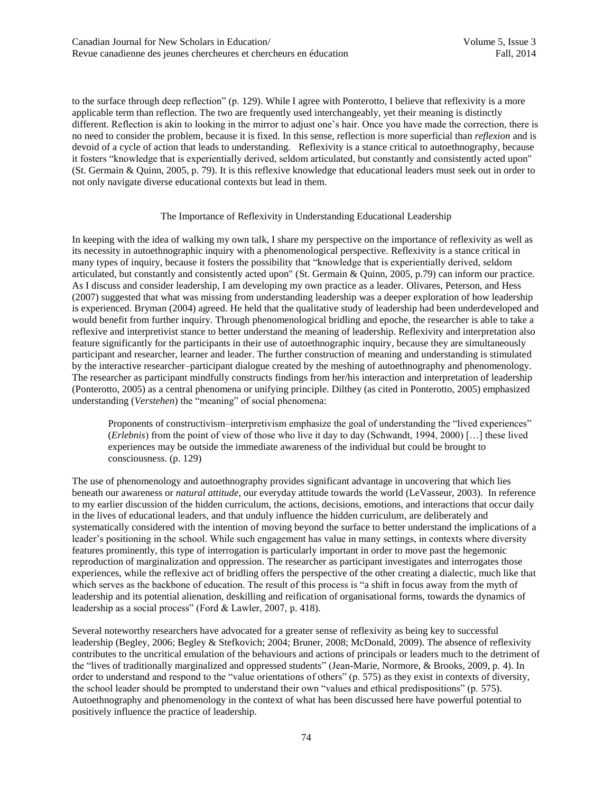to the surface through deep reflection" (p. 129). While I agree with Ponterotto, I believe that reflexivity is a more applicable term than reflection. The two are frequently used interchangeably, yet their meaning is distinctly different. Reflection is akin to looking in the mirror to adjust one's hair. Once you have made the correction, there is no need to consider the problem, because it is fixed. In this sense, reflection is more superficial than *reflexion* and is devoid of a cycle of action that leads to understanding. Reflexivity is a stance critical to autoethnography, because it fosters "knowledge that is experientially derived, seldom articulated, but constantly and consistently acted upon" (St. Germain & Quinn, 2005, p. 79). It is this reflexive knowledge that educational leaders must seek out in order to not only navigate diverse educational contexts but lead in them.

# The Importance of Reflexivity in Understanding Educational Leadership

In keeping with the idea of walking my own talk, I share my perspective on the importance of reflexivity as well as its necessity in autoethnographic inquiry with a phenomenological perspective. Reflexivity is a stance critical in many types of inquiry, because it fosters the possibility that "knowledge that is experientially derived, seldom articulated, but constantly and consistently acted upon" (St. Germain & Quinn, 2005, p.79) can inform our practice. As I discuss and consider leadership, I am developing my own practice as a leader. Olivares, Peterson, and Hess (2007) suggested that what was missing from understanding leadership was a deeper exploration of how leadership is experienced. Bryman (2004) agreed. He held that the qualitative study of leadership had been underdeveloped and would benefit from further inquiry. Through phenomenological bridling and epoche, the researcher is able to take a reflexive and interpretivist stance to better understand the meaning of leadership. Reflexivity and interpretation also feature significantly for the participants in their use of autoethnographic inquiry, because they are simultaneously participant and researcher, learner and leader. The further construction of meaning and understanding is stimulated by the interactive researcher–participant dialogue created by the meshing of autoethnography and phenomenology. The researcher as participant mindfully constructs findings from her/his interaction and interpretation of leadership (Ponterotto, 2005) as a central phenomena or unifying principle. Dilthey (as cited in Ponterotto, 2005) emphasized understanding (*Verstehen*) the "meaning" of social phenomena:

Proponents of constructivism–interpretivism emphasize the goal of understanding the "lived experiences" (*Erlebnis*) from the point of view of those who live it day to day (Schwandt, 1994, 2000) […] these lived experiences may be outside the immediate awareness of the individual but could be brought to consciousness. (p. 129)

The use of phenomenology and autoethnography provides significant advantage in uncovering that which lies beneath our awareness or *natural attitude*, our everyday attitude towards the world (LeVasseur, 2003). In reference to my earlier discussion of the hidden curriculum, the actions, decisions, emotions, and interactions that occur daily in the lives of educational leaders, and that unduly influence the hidden curriculum, are deliberately and systematically considered with the intention of moving beyond the surface to better understand the implications of a leader's positioning in the school. While such engagement has value in many settings, in contexts where diversity features prominently, this type of interrogation is particularly important in order to move past the hegemonic reproduction of marginalization and oppression. The researcher as participant investigates and interrogates those experiences, while the reflexive act of bridling offers the perspective of the other creating a dialectic, much like that which serves as the backbone of education. The result of this process is "a shift in focus away from the myth of leadership and its potential alienation, deskilling and reification of organisational forms, towards the dynamics of leadership as a social process" (Ford & Lawler, 2007, p. 418).

Several noteworthy researchers have advocated for a greater sense of reflexivity as being key to successful leadership (Begley, 2006; Begley & Stefkovich; 2004; Bruner, 2008; McDonald, 2009). The absence of reflexivity contributes to the uncritical emulation of the behaviours and actions of principals or leaders much to the detriment of the "lives of traditionally marginalized and oppressed students" (Jean-Marie, Normore, & Brooks, 2009, p. 4). In order to understand and respond to the "value orientations of others" (p. 575) as they exist in contexts of diversity, the school leader should be prompted to understand their own "values and ethical predispositions" (p. 575). Autoethnography and phenomenology in the context of what has been discussed here have powerful potential to positively influence the practice of leadership.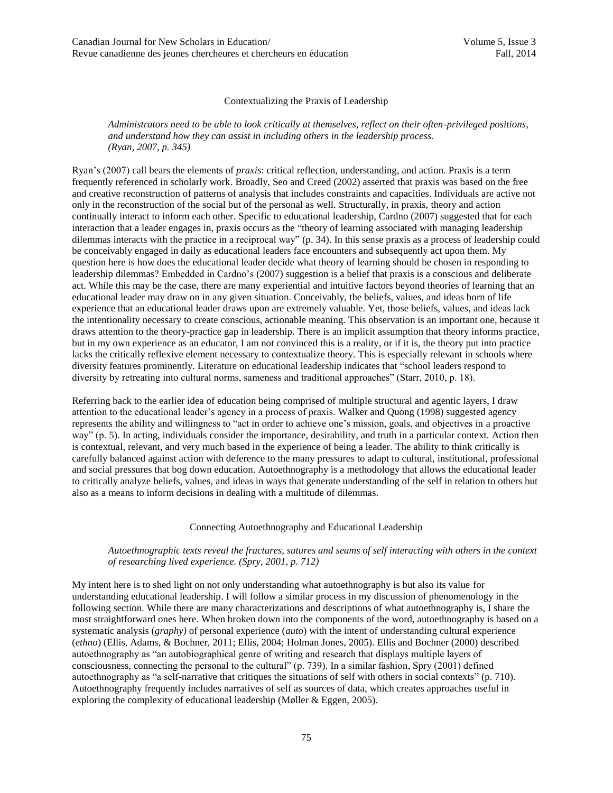### Contextualizing the Praxis of Leadership

*Administrators need to be able to look critically at themselves, reflect on their often-privileged positions, and understand how they can assist in including others in the leadership process. (Ryan, 2007, p. 345)*

Ryan's (2007) call bears the elements of *praxis*: critical reflection, understanding, and action. Praxis is a term frequently referenced in scholarly work. Broadly, Seo and Creed (2002) asserted that praxis was based on the free and creative reconstruction of patterns of analysis that includes constraints and capacities. Individuals are active not only in the reconstruction of the social but of the personal as well. Structurally, in praxis, theory and action continually interact to inform each other. Specific to educational leadership, Cardno (2007) suggested that for each interaction that a leader engages in, praxis occurs as the "theory of learning associated with managing leadership dilemmas interacts with the practice in a reciprocal way" (p. 34). In this sense praxis as a process of leadership could be conceivably engaged in daily as educational leaders face encounters and subsequently act upon them. My question here is how does the educational leader decide what theory of learning should be chosen in responding to leadership dilemmas? Embedded in Cardno's (2007) suggestion is a belief that praxis is a conscious and deliberate act. While this may be the case, there are many experiential and intuitive factors beyond theories of learning that an educational leader may draw on in any given situation. Conceivably, the beliefs, values, and ideas born of life experience that an educational leader draws upon are extremely valuable. Yet, those beliefs, values, and ideas lack the intentionality necessary to create conscious, actionable meaning. This observation is an important one, because it draws attention to the theory-practice gap in leadership. There is an implicit assumption that theory informs practice, but in my own experience as an educator, I am not convinced this is a reality, or if it is, the theory put into practice lacks the critically reflexive element necessary to contextualize theory. This is especially relevant in schools where diversity features prominently. Literature on educational leadership indicates that "school leaders respond to diversity by retreating into cultural norms, sameness and traditional approaches" (Starr, 2010, p. 18).

Referring back to the earlier idea of education being comprised of multiple structural and agentic layers, I draw attention to the educational leader's agency in a process of praxis. Walker and Quong (1998) suggested agency represents the ability and willingness to "act in order to achieve one's mission, goals, and objectives in a proactive way" (p. 5). In acting, individuals consider the importance, desirability, and truth in a particular context. Action then is contextual, relevant, and very much based in the experience of being a leader. The ability to think critically is carefully balanced against action with deference to the many pressures to adapt to cultural, institutional, professional and social pressures that bog down education. Autoethnography is a methodology that allows the educational leader to critically analyze beliefs, values, and ideas in ways that generate understanding of the self in relation to others but also as a means to inform decisions in dealing with a multitude of dilemmas.

## Connecting Autoethnography and Educational Leadership

# *Autoethnographic texts reveal the fractures, sutures and seams of self interacting with others in the context of researching lived experience. (Spry, 2001, p. 712)*

My intent here is to shed light on not only understanding what autoethnography is but also its value for understanding educational leadership. I will follow a similar process in my discussion of phenomenology in the following section. While there are many characterizations and descriptions of what autoethnography is, I share the most straightforward ones here. When broken down into the components of the word, autoethnography is based on a systematic analysis (*graphy)* of personal experience (*auto*) with the intent of understanding cultural experience (*ethno*) (Ellis, Adams, & Bochner, 2011; Ellis, 2004; Holman Jones, 2005). Ellis and Bochner (2000) described autoethnography as "an autobiographical genre of writing and research that displays multiple layers of consciousness, connecting the personal to the cultural" (p. 739). In a similar fashion, Spry (2001) defined autoethnography as "a self-narrative that critiques the situations of self with others in social contexts" (p. 710). Autoethnography frequently includes narratives of self as sources of data, which creates approaches useful in exploring the complexity of educational leadership (Møller & Eggen, 2005).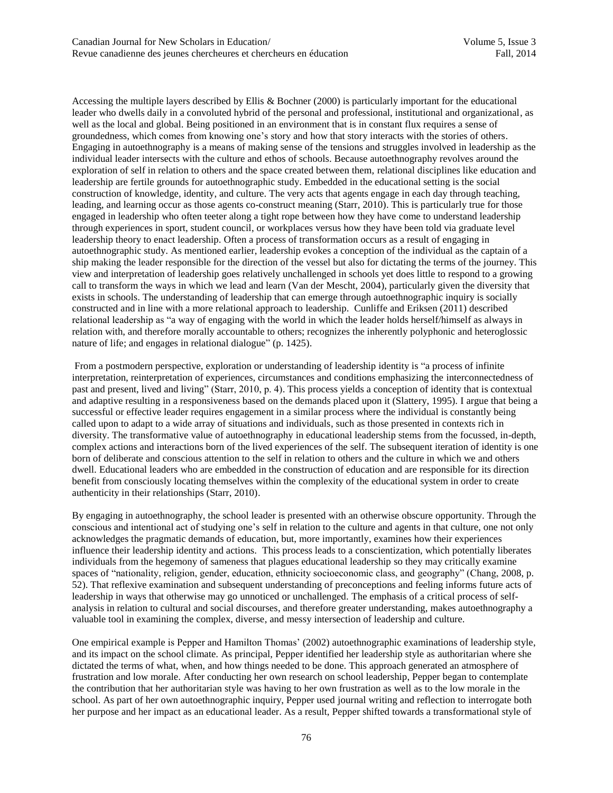Accessing the multiple layers described by Ellis & Bochner (2000) is particularly important for the educational leader who dwells daily in a convoluted hybrid of the personal and professional, institutional and organizational, as well as the local and global. Being positioned in an environment that is in constant flux requires a sense of groundedness, which comes from knowing one's story and how that story interacts with the stories of others. Engaging in autoethnography is a means of making sense of the tensions and struggles involved in leadership as the individual leader intersects with the culture and ethos of schools. Because autoethnography revolves around the exploration of self in relation to others and the space created between them, relational disciplines like education and leadership are fertile grounds for autoethnographic study. Embedded in the educational setting is the social construction of knowledge, identity, and culture. The very acts that agents engage in each day through teaching, leading, and learning occur as those agents co-construct meaning (Starr, 2010). This is particularly true for those engaged in leadership who often teeter along a tight rope between how they have come to understand leadership through experiences in sport, student council, or workplaces versus how they have been told via graduate level leadership theory to enact leadership. Often a process of transformation occurs as a result of engaging in autoethnographic study. As mentioned earlier, leadership evokes a conception of the individual as the captain of a ship making the leader responsible for the direction of the vessel but also for dictating the terms of the journey. This view and interpretation of leadership goes relatively unchallenged in schools yet does little to respond to a growing call to transform the ways in which we lead and learn (Van der Mescht, 2004), particularly given the diversity that exists in schools. The understanding of leadership that can emerge through autoethnographic inquiry is socially constructed and in line with a more relational approach to leadership. Cunliffe and Eriksen (2011) described relational leadership as "a way of engaging with the world in which the leader holds herself/himself as always in relation with, and therefore morally accountable to others; recognizes the inherently polyphonic and heteroglossic nature of life; and engages in relational dialogue" (p. 1425).

From a postmodern perspective, exploration or understanding of leadership identity is "a process of infinite interpretation, reinterpretation of experiences, circumstances and conditions emphasizing the interconnectedness of past and present, lived and living" (Starr, 2010, p. 4). This process yields a conception of identity that is contextual and adaptive resulting in a responsiveness based on the demands placed upon it (Slattery, 1995). I argue that being a successful or effective leader requires engagement in a similar process where the individual is constantly being called upon to adapt to a wide array of situations and individuals, such as those presented in contexts rich in diversity. The transformative value of autoethnography in educational leadership stems from the focussed, in-depth, complex actions and interactions born of the lived experiences of the self. The subsequent iteration of identity is one born of deliberate and conscious attention to the self in relation to others and the culture in which we and others dwell. Educational leaders who are embedded in the construction of education and are responsible for its direction benefit from consciously locating themselves within the complexity of the educational system in order to create authenticity in their relationships (Starr, 2010).

By engaging in autoethnography, the school leader is presented with an otherwise obscure opportunity. Through the conscious and intentional act of studying one's self in relation to the culture and agents in that culture, one not only acknowledges the pragmatic demands of education, but, more importantly, examines how their experiences influence their leadership identity and actions. This process leads to a conscientization, which potentially liberates individuals from the hegemony of sameness that plagues educational leadership so they may critically examine spaces of "nationality, religion, gender, education, ethnicity socioeconomic class, and geography" (Chang, 2008, p. 52). That reflexive examination and subsequent understanding of preconceptions and feeling informs future acts of leadership in ways that otherwise may go unnoticed or unchallenged. The emphasis of a critical process of selfanalysis in relation to cultural and social discourses, and therefore greater understanding, makes autoethnography a valuable tool in examining the complex, diverse, and messy intersection of leadership and culture.

One empirical example is Pepper and Hamilton Thomas' (2002) autoethnographic examinations of leadership style, and its impact on the school climate. As principal, Pepper identified her leadership style as authoritarian where she dictated the terms of what, when, and how things needed to be done. This approach generated an atmosphere of frustration and low morale. After conducting her own research on school leadership, Pepper began to contemplate the contribution that her authoritarian style was having to her own frustration as well as to the low morale in the school. As part of her own autoethnographic inquiry, Pepper used journal writing and reflection to interrogate both her purpose and her impact as an educational leader. As a result, Pepper shifted towards a transformational style of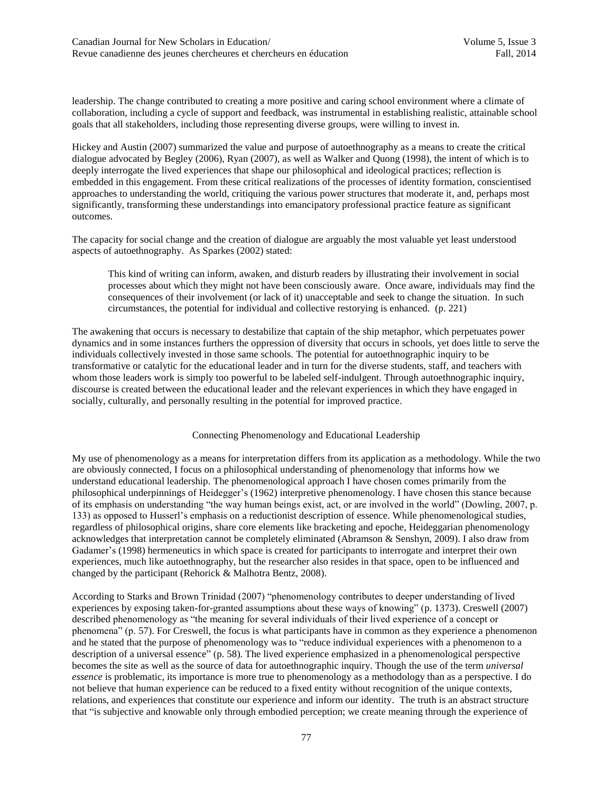leadership. The change contributed to creating a more positive and caring school environment where a climate of collaboration, including a cycle of support and feedback, was instrumental in establishing realistic, attainable school goals that all stakeholders, including those representing diverse groups, were willing to invest in.

Hickey and Austin (2007) summarized the value and purpose of autoethnography as a means to create the critical dialogue advocated by Begley (2006), Ryan (2007), as well as Walker and Quong (1998), the intent of which is to deeply interrogate the lived experiences that shape our philosophical and ideological practices; reflection is embedded in this engagement. From these critical realizations of the processes of identity formation, conscientised approaches to understanding the world, critiquing the various power structures that moderate it, and, perhaps most significantly, transforming these understandings into emancipatory professional practice feature as significant outcomes.

The capacity for social change and the creation of dialogue are arguably the most valuable yet least understood aspects of autoethnography. As Sparkes (2002) stated:

This kind of writing can inform, awaken, and disturb readers by illustrating their involvement in social processes about which they might not have been consciously aware. Once aware, individuals may find the consequences of their involvement (or lack of it) unacceptable and seek to change the situation. In such circumstances, the potential for individual and collective restorying is enhanced. (p. 221)

The awakening that occurs is necessary to destabilize that captain of the ship metaphor, which perpetuates power dynamics and in some instances furthers the oppression of diversity that occurs in schools, yet does little to serve the individuals collectively invested in those same schools. The potential for autoethnographic inquiry to be transformative or catalytic for the educational leader and in turn for the diverse students, staff, and teachers with whom those leaders work is simply too powerful to be labeled self-indulgent. Through autoethnographic inquiry, discourse is created between the educational leader and the relevant experiences in which they have engaged in socially, culturally, and personally resulting in the potential for improved practice.

# Connecting Phenomenology and Educational Leadership

My use of phenomenology as a means for interpretation differs from its application as a methodology. While the two are obviously connected, I focus on a philosophical understanding of phenomenology that informs how we understand educational leadership. The phenomenological approach I have chosen comes primarily from the philosophical underpinnings of Heidegger's (1962) interpretive phenomenology. I have chosen this stance because of its emphasis on understanding "the way human beings exist, act, or are involved in the world" (Dowling, 2007, p. 133) as opposed to Husserl's emphasis on a reductionist description of essence. While phenomenological studies, regardless of philosophical origins, share core elements like bracketing and epoche, Heideggarian phenomenology acknowledges that interpretation cannot be completely eliminated (Abramson & Senshyn, 2009). I also draw from Gadamer's (1998) hermeneutics in which space is created for participants to interrogate and interpret their own experiences, much like autoethnography, but the researcher also resides in that space, open to be influenced and changed by the participant (Rehorick & Malhotra Bentz, 2008).

According to Starks and Brown Trinidad (2007) "phenomenology contributes to deeper understanding of lived experiences by exposing taken-for-granted assumptions about these ways of knowing" (p. 1373). Creswell (2007) described phenomenology as "the meaning for several individuals of their lived experience of a concept or phenomena" (p. 57). For Creswell, the focus is what participants have in common as they experience a phenomenon and he stated that the purpose of phenomenology was to "reduce individual experiences with a phenomenon to a description of a universal essence" (p. 58). The lived experience emphasized in a phenomenological perspective becomes the site as well as the source of data for autoethnographic inquiry. Though the use of the term *universal essence* is problematic, its importance is more true to phenomenology as a methodology than as a perspective. I do not believe that human experience can be reduced to a fixed entity without recognition of the unique contexts, relations, and experiences that constitute our experience and inform our identity. The truth is an abstract structure that "is subjective and knowable only through embodied perception; we create meaning through the experience of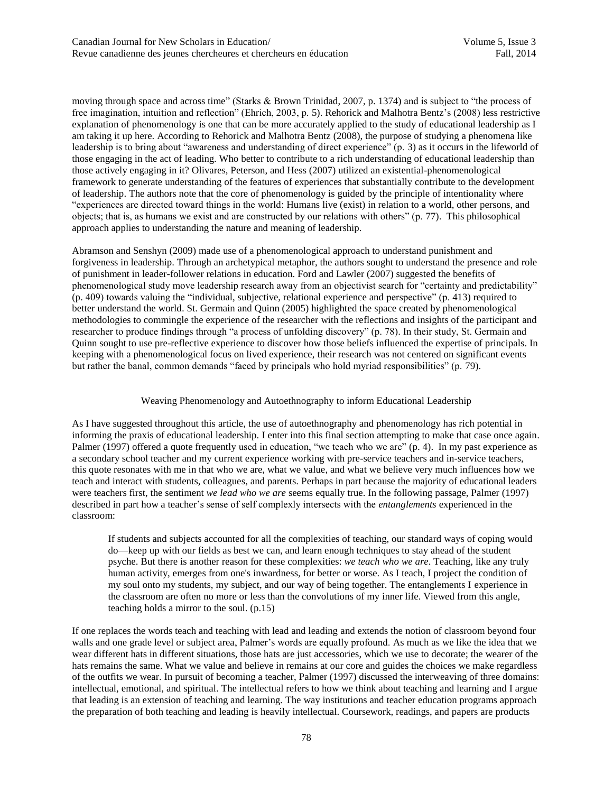moving through space and across time" (Starks & Brown Trinidad, 2007, p. 1374) and is subject to "the process of free imagination, intuition and reflection" (Ehrich, 2003, p. 5). Rehorick and Malhotra Bentz's (2008) less restrictive explanation of phenomenology is one that can be more accurately applied to the study of educational leadership as I am taking it up here. According to Rehorick and Malhotra Bentz (2008), the purpose of studying a phenomena like leadership is to bring about "awareness and understanding of direct experience" (p. 3) as it occurs in the lifeworld of those engaging in the act of leading. Who better to contribute to a rich understanding of educational leadership than those actively engaging in it? Olivares, Peterson, and Hess (2007) utilized an existential-phenomenological framework to generate understanding of the features of experiences that substantially contribute to the development of leadership. The authors note that the core of phenomenology is guided by the principle of intentionality where "experiences are directed toward things in the world: Humans live (exist) in relation to a world, other persons, and objects; that is, as humans we exist and are constructed by our relations with others" (p. 77). This philosophical approach applies to understanding the nature and meaning of leadership.

Abramson and Senshyn (2009) made use of a phenomenological approach to understand punishment and forgiveness in leadership. Through an archetypical metaphor, the authors sought to understand the presence and role of punishment in leader-follower relations in education. Ford and Lawler (2007) suggested the benefits of phenomenological study move leadership research away from an objectivist search for "certainty and predictability" (p. 409) towards valuing the "individual, subjective, relational experience and perspective" (p. 413) required to better understand the world. St. Germain and Quinn (2005) highlighted the space created by phenomenological methodologies to commingle the experience of the researcher with the reflections and insights of the participant and researcher to produce findings through "a process of unfolding discovery" (p. 78). In their study, St. Germain and Quinn sought to use pre-reflective experience to discover how those beliefs influenced the expertise of principals. In keeping with a phenomenological focus on lived experience, their research was not centered on significant events but rather the banal, common demands "faced by principals who hold myriad responsibilities" (p. 79).

# Weaving Phenomenology and Autoethnography to inform Educational Leadership

As I have suggested throughout this article, the use of autoethnography and phenomenology has rich potential in informing the praxis of educational leadership. I enter into this final section attempting to make that case once again. Palmer (1997) offered a quote frequently used in education, "we teach who we are" (p. 4). In my past experience as a secondary school teacher and my current experience working with pre-service teachers and in-service teachers, this quote resonates with me in that who we are, what we value, and what we believe very much influences how we teach and interact with students, colleagues, and parents. Perhaps in part because the majority of educational leaders were teachers first, the sentiment *we lead who we are* seems equally true. In the following passage, Palmer (1997) described in part how a teacher's sense of self complexly intersects with the *entanglements* experienced in the classroom:

If students and subjects accounted for all the complexities of teaching, our standard ways of coping would do—keep up with our fields as best we can, and learn enough techniques to stay ahead of the student psyche. But there is another reason for these complexities: *we teach who we are*. Teaching, like any truly human activity, emerges from one's inwardness, for better or worse. As I teach, I project the condition of my soul onto my students, my subject, and our way of being together. The entanglements I experience in the classroom are often no more or less than the convolutions of my inner life. Viewed from this angle, teaching holds a mirror to the soul. (p.15)

If one replaces the words teach and teaching with lead and leading and extends the notion of classroom beyond four walls and one grade level or subject area, Palmer's words are equally profound. As much as we like the idea that we wear different hats in different situations, those hats are just accessories, which we use to decorate; the wearer of the hats remains the same. What we value and believe in remains at our core and guides the choices we make regardless of the outfits we wear. In pursuit of becoming a teacher, Palmer (1997) discussed the interweaving of three domains: intellectual, emotional, and spiritual. The intellectual refers to how we think about teaching and learning and I argue that leading is an extension of teaching and learning. The way institutions and teacher education programs approach the preparation of both teaching and leading is heavily intellectual. Coursework, readings, and papers are products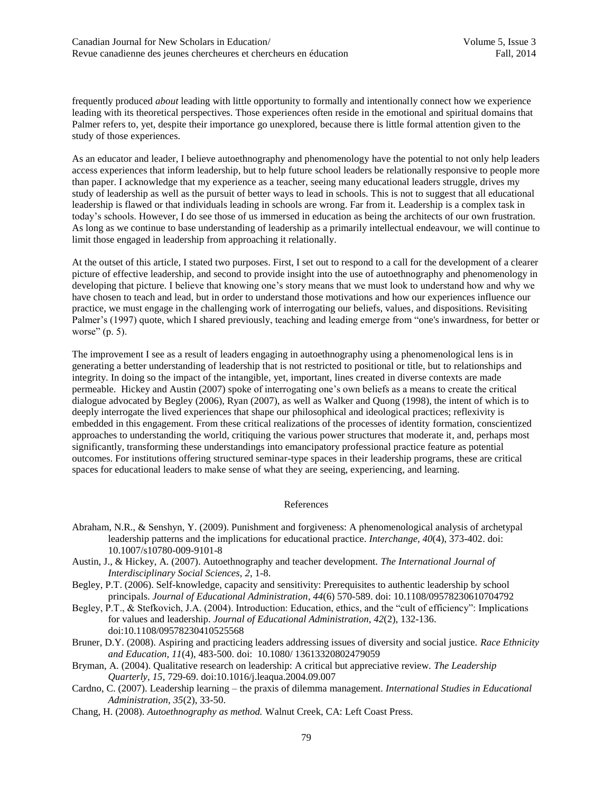frequently produced *about* leading with little opportunity to formally and intentionally connect how we experience leading with its theoretical perspectives. Those experiences often reside in the emotional and spiritual domains that Palmer refers to, yet, despite their importance go unexplored, because there is little formal attention given to the study of those experiences.

As an educator and leader, I believe autoethnography and phenomenology have the potential to not only help leaders access experiences that inform leadership, but to help future school leaders be relationally responsive to people more than paper. I acknowledge that my experience as a teacher, seeing many educational leaders struggle, drives my study of leadership as well as the pursuit of better ways to lead in schools. This is not to suggest that all educational leadership is flawed or that individuals leading in schools are wrong. Far from it. Leadership is a complex task in today's schools. However, I do see those of us immersed in education as being the architects of our own frustration. As long as we continue to base understanding of leadership as a primarily intellectual endeavour, we will continue to limit those engaged in leadership from approaching it relationally.

At the outset of this article, I stated two purposes. First, I set out to respond to a call for the development of a clearer picture of effective leadership, and second to provide insight into the use of autoethnography and phenomenology in developing that picture. I believe that knowing one's story means that we must look to understand how and why we have chosen to teach and lead, but in order to understand those motivations and how our experiences influence our practice, we must engage in the challenging work of interrogating our beliefs, values, and dispositions. Revisiting Palmer's (1997) quote, which I shared previously, teaching and leading emerge from "one's inwardness, for better or worse"  $(p. 5)$ .

The improvement I see as a result of leaders engaging in autoethnography using a phenomenological lens is in generating a better understanding of leadership that is not restricted to positional or title, but to relationships and integrity. In doing so the impact of the intangible, yet, important, lines created in diverse contexts are made permeable. Hickey and Austin (2007) spoke of interrogating one's own beliefs as a means to create the critical dialogue advocated by Begley (2006), Ryan (2007), as well as Walker and Quong (1998), the intent of which is to deeply interrogate the lived experiences that shape our philosophical and ideological practices; reflexivity is embedded in this engagement. From these critical realizations of the processes of identity formation, conscientized approaches to understanding the world, critiquing the various power structures that moderate it, and, perhaps most significantly, transforming these understandings into emancipatory professional practice feature as potential outcomes. For institutions offering structured seminar-type spaces in their leadership programs, these are critical spaces for educational leaders to make sense of what they are seeing, experiencing, and learning.

#### References

- Abraham, N.R., & Senshyn, Y. (2009). Punishment and forgiveness: A phenomenological analysis of archetypal leadership patterns and the implications for educational practice. *Interchange, 40*(4), 373-402. doi: 10.1007/s10780-009-9101-8
- Austin, J., & Hickey, A. (2007). Autoethnography and teacher development. *The International Journal of Interdisciplinary Social Sciences*, *2*, 1-8.
- Begley, P.T. (2006). Self-knowledge, capacity and sensitivity: Prerequisites to authentic leadership by school principals. *Journal of Educational Administration*, *44*(6) 570-589. doi: 10.1108/09578230610704792
- Begley, P.T., & Stefkovich, J.A. (2004). Introduction: Education, ethics, and the "cult of efficiency": Implications for values and leadership. *Journal of Educational Administration, 42*(2)*,* 132-136. doi:10.1108/09578230410525568
- Bruner, D.Y. (2008). Aspiring and practicing leaders addressing issues of diversity and social justice. *Race Ethnicity and Education, 11*(4), 483-500. doi: 10.1080/ 13613320802479059
- Bryman, A. (2004). Qualitative research on leadership: A critical but appreciative review. *The Leadership Quarterly, 15*, 729-69. doi:10.1016/j.leaqua.2004.09.007
- Cardno, C. (2007). Leadership learning the praxis of dilemma management. *International Studies in Educational Administration, 35*(2), 33-50.
- Chang, H. (2008). *Autoethnography as method.* Walnut Creek, CA: Left Coast Press.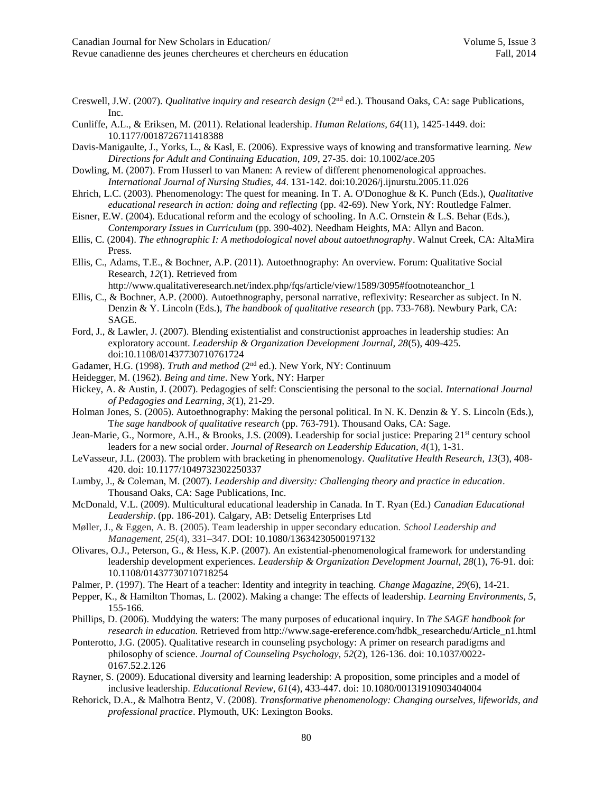- Creswell, J.W. (2007). *Qualitative inquiry and research design* (2<sup>nd</sup> ed.). Thousand Oaks, CA: sage Publications, Inc.
- Cunliffe, A.L., & Eriksen, M. (2011). Relational leadership. *Human Relations, 64*(11), 1425-1449. doi: 10.1177/0018726711418388
- Davis-Manigaulte, J., Yorks, L., & Kasl, E. (2006). Expressive ways of knowing and transformative learning. *New Directions for Adult and Continuing Education, 109*, 27-35. doi: 10.1002/ace.205
- Dowling, M. (2007). From Husserl to van Manen: A review of different phenomenological approaches. *International Journal of Nursing Studies, 44*. 131-142. doi:10.2026/j.ijnurstu.2005.11.026
- Ehrich, L.C. (2003). Phenomenology: The quest for meaning. In T. A. O'Donoghue & K. Punch (Eds.), *Qualitative educational research in action: doing and reflecting* (pp. 42-69). New York, NY: Routledge Falmer.
- Eisner, E.W. (2004). Educational reform and the ecology of schooling. In A.C. Ornstein & L.S. Behar (Eds.), *Contemporary Issues in Curriculum* (pp. 390-402). Needham Heights, MA: Allyn and Bacon.
- Ellis, C. (2004). *The ethnographic I: A methodological novel about autoethnography*. Walnut Creek, CA: AltaMira Press.
- Ellis, C., Adams, T.E., & Bochner, A.P. (2011). Autoethnography: An overview. Forum: Qualitative Social Research, *12*(1). Retrieved from

http://www.qualitativeresearch.net/index.php/fqs/article/view/1589/3095#footnoteanchor\_1

- Ellis, C., & Bochner, A.P. (2000). Autoethnography, personal narrative, reflexivity: Researcher as subject. In N. Denzin & Y. Lincoln (Eds.), *The handbook of qualitative research* (pp. 733-768). Newbury Park, CA: SAGE.
- Ford, J., & Lawler, J. (2007). Blending existentialist and constructionist approaches in leadership studies: An exploratory account. *Leadership & Organization Development Journal, 28*(5), 409-425. doi:10.1108/01437730710761724
- Gadamer, H.G. (1998). *Truth and method* (2<sup>nd</sup> ed.). New York, NY: Continuum
- Heidegger, M. (1962). *Being and time*. New York, NY: Harper
- Hickey, A. & Austin, J. (2007). Pedagogies of self: Conscientising the personal to the social. *International Journal of Pedagogies and Learning*, *3*(1), 21-29.
- Holman Jones, S. (2005). Autoethnography: Making the personal political. In N. K. Denzin & Y. S. Lincoln (Eds.), T*he sage handbook of qualitative research* (pp. 763-791). Thousand Oaks, CA: Sage.
- Jean-Marie, G., Normore, A.H., & Brooks, J.S. (2009). Leadership for social justice: Preparing 21<sup>st</sup> century school leaders for a new social order. *Journal of Research on Leadership Education, 4*(1), 1-31.
- LeVasseur, J.L. (2003). The problem with bracketing in phenomenology. *Qualitative Health Research, 13*(3), 408- 420. doi: 10.1177/1049732302250337
- Lumby, J., & Coleman, M. (2007). *Leadership and diversity: Challenging theory and practice in education*. Thousand Oaks, CA: Sage Publications, Inc.
- McDonald, V.L. (2009). Multicultural educational leadership in Canada. In T. Ryan (Ed.) *Canadian Educational Leadership*. (pp. 186-201). Calgary, AB: Detselig Enterprises Ltd
- Møller, J., & Eggen, A. B. (2005). Team leadership in upper secondary education. *School Leadership and Management, 25*(4), 331–347. DOI: 10.1080/13634230500197132
- Olivares, O.J., Peterson, G., & Hess, K.P. (2007). An existential-phenomenological framework for understanding leadership development experiences. *Leadership & Organization Development Journal, 28*(1), 76-91. doi: 10.1108/01437730710718254
- Palmer, P. (1997). The Heart of a teacher: Identity and integrity in teaching. *Change Magazine, 29*(6), 14-21.
- Pepper, K., & Hamilton Thomas, L. (2002). Making a change: The effects of leadership. *Learning Environments, 5*, 155-166.
- Phillips, D. (2006). Muddying the waters: The many purposes of educational inquiry. In *The SAGE handbook for research in education.* Retrieved from http://www.sage-ereference.com/hdbk\_researchedu/Article\_n1.html
- Ponterotto, J.G. (2005). Qualitative research in counseling psychology: A primer on research paradigms and philosophy of science. *Journal of Counseling Psychology, 52*(2), 126-136. doi: 10.1037/0022- 0167.52.2.126
- Rayner, S. (2009). Educational diversity and learning leadership: A proposition, some principles and a model of inclusive leadership. *Educational Review, 61*(4), 433-447. doi: 10.1080/00131910903404004
- Rehorick, D.A., & Malhotra Bentz, V. (2008). *Transformative phenomenology: Changing ourselves, lifeworlds, and professional practice*. Plymouth, UK: Lexington Books.